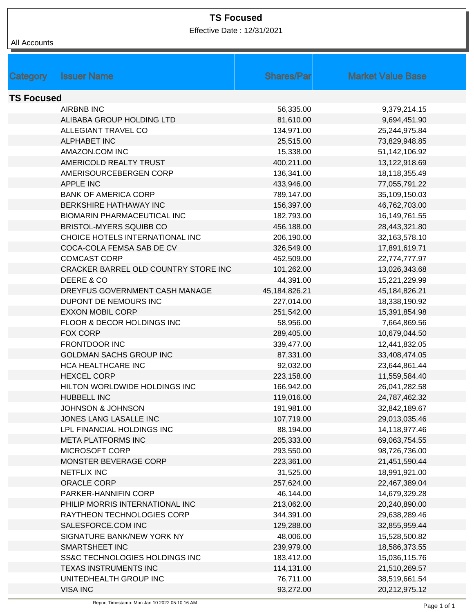## **TS Focused**

Effective Date : 12/31/2021

| All Accounts      |                                      |                   |                          |  |  |
|-------------------|--------------------------------------|-------------------|--------------------------|--|--|
|                   |                                      |                   |                          |  |  |
|                   |                                      |                   |                          |  |  |
| Category          | <b>Issuer Name</b>                   | <b>Shares/Par</b> | <b>Market Value Base</b> |  |  |
| <b>TS Focused</b> |                                      |                   |                          |  |  |
|                   | <b>AIRBNB INC</b>                    | 56,335.00         | 9,379,214.15             |  |  |
|                   | ALIBABA GROUP HOLDING LTD            | 81,610.00         | 9,694,451.90             |  |  |
|                   | <b>ALLEGIANT TRAVEL CO</b>           | 134,971.00        | 25,244,975.84            |  |  |
|                   | <b>ALPHABET INC</b>                  | 25,515.00         | 73,829,948.85            |  |  |
|                   | AMAZON.COM INC                       | 15,338.00         | 51,142,106.92            |  |  |
|                   | AMERICOLD REALTY TRUST               | 400,211.00        | 13,122,918.69            |  |  |
|                   | AMERISOURCEBERGEN CORP               | 136,341.00        | 18,118,355.49            |  |  |
|                   | <b>APPLE INC</b>                     | 433,946.00        | 77,055,791.22            |  |  |
|                   | <b>BANK OF AMERICA CORP</b>          | 789,147.00        | 35,109,150.03            |  |  |
|                   | BERKSHIRE HATHAWAY INC               | 156,397.00        | 46,762,703.00            |  |  |
|                   | <b>BIOMARIN PHARMACEUTICAL INC</b>   | 182,793.00        | 16,149,761.55            |  |  |
|                   | BRISTOL-MYERS SQUIBB CO              | 456,188.00        | 28,443,321.80            |  |  |
|                   | CHOICE HOTELS INTERNATIONAL INC      | 206,190.00        | 32,163,578.10            |  |  |
|                   | COCA-COLA FEMSA SAB DE CV            | 326,549.00        | 17,891,619.71            |  |  |
|                   | <b>COMCAST CORP</b>                  | 452,509.00        | 22,774,777.97            |  |  |
|                   | CRACKER BARREL OLD COUNTRY STORE INC | 101,262.00        | 13,026,343.68            |  |  |
|                   | DEERE & CO                           | 44,391.00         | 15,221,229.99            |  |  |
|                   | DREYFUS GOVERNMENT CASH MANAGE       | 45, 184, 826. 21  | 45,184,826.21            |  |  |
|                   | DUPONT DE NEMOURS INC                | 227,014.00        | 18,338,190.92            |  |  |
|                   | <b>EXXON MOBIL CORP</b>              | 251,542.00        | 15,391,854.98            |  |  |
|                   | FLOOR & DECOR HOLDINGS INC           | 58,956.00         | 7,664,869.56             |  |  |
|                   | FOX CORP                             | 289,405.00        | 10,679,044.50            |  |  |
|                   | <b>FRONTDOOR INC</b>                 | 339,477.00        | 12,441,832.05            |  |  |
|                   | <b>GOLDMAN SACHS GROUP INC</b>       | 87,331.00         | 33,408,474.05            |  |  |
|                   | HCA HEALTHCARE INC                   | 92,032.00         | 23,644,861.44            |  |  |
|                   | <b>HEXCEL CORP</b>                   | 223,158.00        | 11,559,584.40            |  |  |
|                   | HILTON WORLDWIDE HOLDINGS INC        | 166,942.00        | 26,041,282.58            |  |  |
|                   | <b>HUBBELL INC</b>                   | 119,016.00        | 24,787,462.32            |  |  |
|                   | JOHNSON & JOHNSON                    | 191,981.00        | 32,842,189.67            |  |  |
|                   | JONES LANG LASALLE INC               | 107,719.00        | 29,013,035.46            |  |  |
|                   | LPL FINANCIAL HOLDINGS INC           | 88,194.00         | 14,118,977.46            |  |  |
|                   | <b>META PLATFORMS INC</b>            | 205,333.00        | 69,063,754.55            |  |  |
|                   | MICROSOFT CORP                       | 293,550.00        | 98,726,736.00            |  |  |
|                   | MONSTER BEVERAGE CORP                | 223,361.00        | 21,451,590.44            |  |  |
|                   | <b>NETFLIX INC</b>                   | 31,525.00         | 18,991,921.00            |  |  |
|                   | ORACLE CORP                          | 257,624.00        | 22,467,389.04            |  |  |
|                   | PARKER-HANNIFIN CORP                 | 46,144.00         | 14,679,329.28            |  |  |
|                   | PHILIP MORRIS INTERNATIONAL INC      | 213,062.00        | 20,240,890.00            |  |  |
|                   | RAYTHEON TECHNOLOGIES CORP           | 344,391.00        | 29,638,289.46            |  |  |
|                   | SALESFORCE.COM INC                   | 129,288.00        | 32,855,959.44            |  |  |
|                   | SIGNATURE BANK/NEW YORK NY           | 48,006.00         | 15,528,500.82            |  |  |
|                   | SMARTSHEET INC                       | 239,979.00        | 18,586,373.55            |  |  |
|                   | SS&C TECHNOLOGIES HOLDINGS INC       | 183,412.00        | 15,036,115.76            |  |  |
|                   | TEXAS INSTRUMENTS INC                | 114,131.00        | 21,510,269.57            |  |  |
|                   | UNITEDHEALTH GROUP INC               | 76,711.00         | 38,519,661.54            |  |  |
|                   | <b>VISA INC</b>                      | 93,272.00         | 20,212,975.12            |  |  |